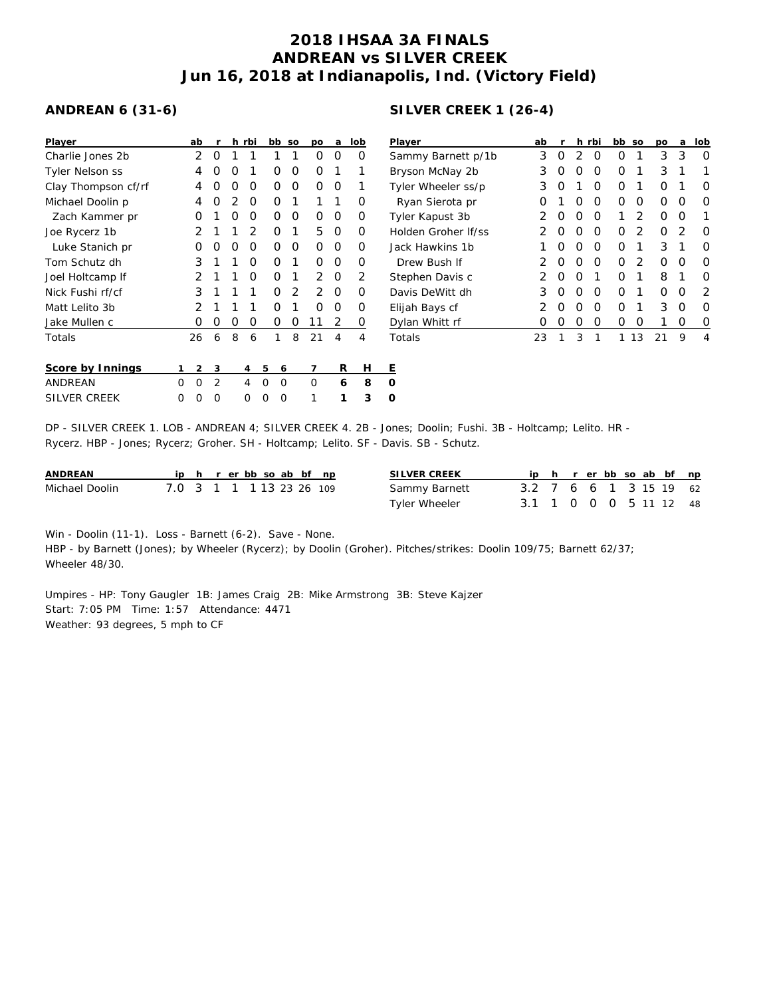## **2018 IHSAA 3A FINALS ANDREAN vs SILVER CREEK Jun 16, 2018 at Indianapolis, Ind. (Victory Field)**

## **ANDREAN 6 (31-6)**

| Player                 |   | ab | r |   | h rbi          |   | bb | SO | po             | a        | lob | P              |
|------------------------|---|----|---|---|----------------|---|----|----|----------------|----------|-----|----------------|
| Charlie Jones 2b       |   | 2  | Ο | 1 | 1              |   | 1  | 1  | Ο              | Ω        | O   | S              |
| <b>Tyler Nelson ss</b> |   | 4  | Ο | O | 1              |   | Ο  | O  | Ω              | 1        | 1   | B              |
| Clay Thompson cf/rf    |   | 4  | Ο | O | O              |   | Ο  | O  | O              | O        | 1   | Τ              |
| Michael Doolin p       |   | 4  | Ο | 2 | O              |   | 0  | 1  | 1              | 1        | Ο   |                |
| Zach Kammer pr         |   | O  | 1 | O | O              |   | 0  | O  | O              | O        | O   | Τ              |
| Joe Rycerz 1b          |   | 2  | 1 | 1 | $\overline{2}$ |   | O  | 1  | 5              | O        | O   | Н              |
| Luke Stanich pr        |   | Ω  | Ο | O | O              |   | O  | 0  | Ο              | O        | O   | J.             |
| Tom Schutz dh          |   | 3  | 1 | 1 | $\Omega$       |   | Ο  | 1  | Ω              | Ο        | Ο   |                |
| Joel Holtcamp If       |   | 2  | 1 | 1 | O              |   | O  | 1  | $\mathfrak{D}$ | $\Omega$ | 2   | S              |
| Nick Fushi rf/cf       |   | 3  | 1 | 1 | 1              |   | ∩  | 2  | 2              | O        | O   | D              |
| Matt Lelito 3b         |   | 2  | 1 | 1 | 1              |   | Ω  | 1  | 0              | O        | Ο   | E              |
| Jake Mullen c          |   | Ο  | 0 | 0 | 0              |   | Ο  | Ο  | 11             | 2        | 0   | $\overline{L}$ |
| Totals                 |   | 26 | 6 | 8 | 6              |   | 1  | 8  | 21             | 4        | 4   | T              |
| Score by Innings       |   | 2  | 3 |   | 4              | 5 | 6  |    | 7              | R        | Н   | E              |
| <b>ANDREAN</b>         | Ω | O  | 2 |   | 4              | O | O  |    | O              | 6        | 8   | 0              |
| <b>SILVER CREEK</b>    | Ω | Ω  | Ω |   | Ω              | Ω | Ω  |    | 1              | 1        | 3   | O              |

## **SILVER CREEK 1 (26-4)**

| Player              | ab | r |   | h rbi | bb | SO | <b>DO</b> | a | lob              |
|---------------------|----|---|---|-------|----|----|-----------|---|------------------|
| Sammy Barnett p/1b  | 3  | O | 2 | O     | Ο  | 1  | 3         | 3 | Ω                |
| Bryson McNay 2b     | 3  | O | Ο | O     | Ο  | 1  | 3         | 1 | 1                |
| Tyler Wheeler ss/p  | 3  | O | 1 | O     | Ω  | 1  | Ω         | 1 | Ω                |
| Ryan Sierota pr     | Ω  | 1 | Ω | O     | Ω  | O  | Ω         | O | Ω                |
| Tyler Kapust 3b     | 2  | O | Ω | O     | 1  | 2  | Ω         | Ω | 1                |
| Holden Groher If/ss | 2  | O | Ω | O     | Ω  | 2  | Ω         | 2 | Ω                |
| Jack Hawkins 1b     | 1  | O | Ω | O     | Ω  | 1  | 3         | 1 | Ω                |
| Drew Bush If        | 2  | O | Ω | O     | Ω  | 2  | ი         | Ω | ∩                |
| Stephen Davis c     | 2  | O | O | 1     | Ω  | 1  | 8         | 1 | Ω                |
| Davis DeWitt dh     | 3  | O | Ω | O     | Ω  | 1  | Ω         | Ω | $\mathcal{P}$    |
| Elijah Bays cf      | 2  | O | Ω | O     | Ω  | 1  | 3         | O | ∩                |
| Dylan Whitt rf      | Ω  | O | O | O     | Ω  | Ο  | 1         | Ο | $\left( \right)$ |
| Totals              | 23 | 1 | 3 |       |    | 13 | 21        | 9 | 4                |

DP - SILVER CREEK 1. LOB - ANDREAN 4; SILVER CREEK 4. 2B - Jones; Doolin; Fushi. 3B - Holtcamp; Lelito. HR - Rycerz. HBP - Jones; Rycerz; Groher. SH - Holtcamp; Lelito. SF - Davis. SB - Schutz.

| ANDREAN        |                          |  |  | ip h r erbbso ab bf np |  |  | SILVER CREEK         |                        |  |  |  | ip h r er bb so ab bf np |  |
|----------------|--------------------------|--|--|------------------------|--|--|----------------------|------------------------|--|--|--|--------------------------|--|
| Michael Doolin | 7.0 3 1 1 1 13 23 26 109 |  |  |                        |  |  | Sammy Barnett        | 3.2 7 6 6 1 3 15 19 62 |  |  |  |                          |  |
|                |                          |  |  |                        |  |  | <b>Tyler Wheeler</b> | 3.1 1 0 0 0 5 11 12 48 |  |  |  |                          |  |

Win - Doolin (11-1). Loss - Barnett (6-2). Save - None.

HBP - by Barnett (Jones); by Wheeler (Rycerz); by Doolin (Groher). Pitches/strikes: Doolin 109/75; Barnett 62/37; Wheeler 48/30.

Umpires - HP: Tony Gaugler 1B: James Craig 2B: Mike Armstrong 3B: Steve Kajzer Start: 7:05 PM Time: 1:57 Attendance: 4471 Weather: 93 degrees, 5 mph to CF